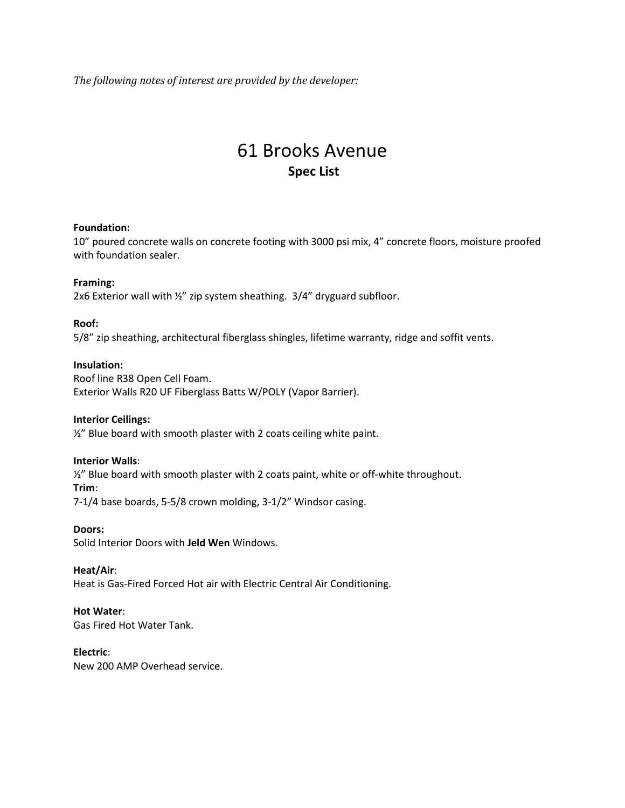*The following notes of interest are provided by the developer:*

# 61 Brooks Avenue **Spec List**

#### **Foundation:**

10" poured concrete walls on concrete footing with 3000 psi mix, 4" concrete floors, moisture proofed with foundation sealer.

# **Framing:**

2x6 Exterior wall with ½" zip system sheathing. 3/4" dryguard subfloor.

## **Roof:**

5/8" zip sheathing, architectural fiberglass shingles, lifetime warranty, ridge and soffit vents.

## **Insulation:**

Roof line R38 Open Cell Foam. Exterior Walls R20 UF Fiberglass Batts W/POLY (Vapor Barrier).

# **Interior Ceilings:**

 $\frac{1}{2}$ " Blue board with smooth plaster with 2 coats ceiling white paint.

#### **Interior Walls**:

½" Blue board with smooth plaster with 2 coats paint, white or off-white throughout. **Trim**:

[7-1/4](x-apple-data-detectors://8/) base boards, [5-5/8](x-apple-data-detectors://9/) crown molding, [3-1/2"](x-apple-data-detectors://10/) Windsor casing.

#### **Doors:**

Solid Interior Doors with **Jeld Wen** Windows.

# **Heat/Air**:

Heat is Gas-Fired Forced Hot air with Electric Central Air Conditioning.

# **Hot Water**:

Gas Fired Hot Water Tank.

# **Electric**:

New 200 AMP Overhead service.